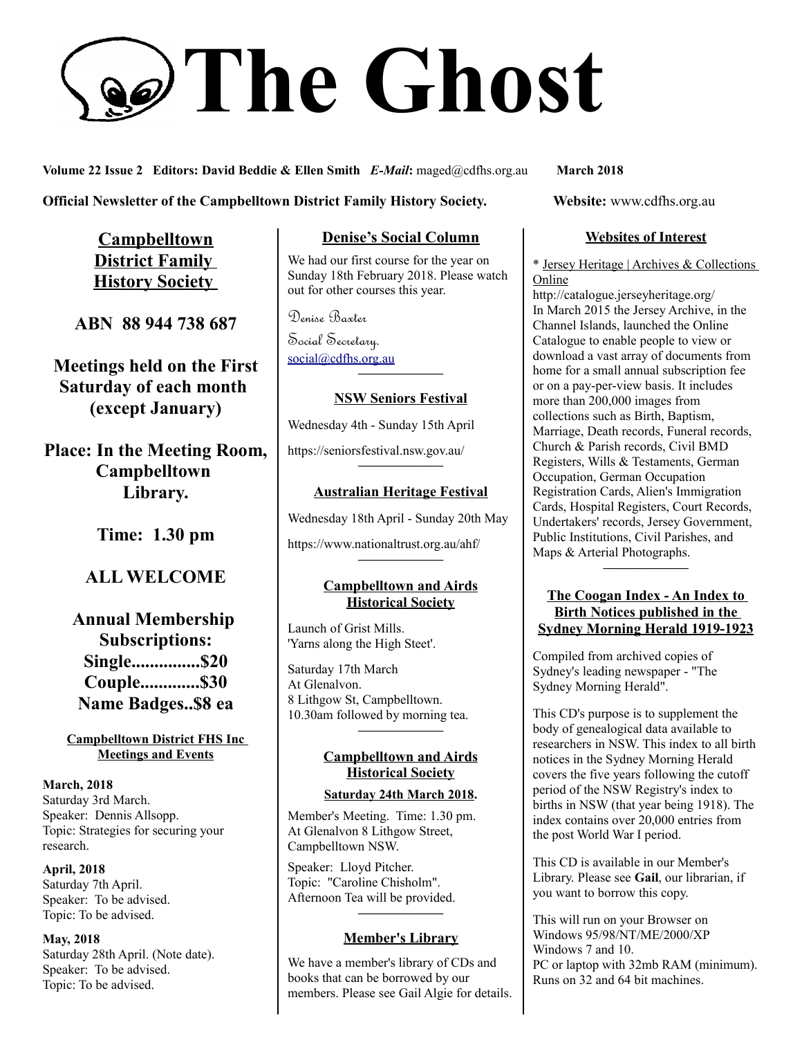# **The Ghost**

**Volume 22 Issue 2 Editors: David Beddie & Ellen Smith** *E-Mail***:** maged@cdfhs.org.au **March 2018**

#### **Official Newsletter of the Campbelltown District Family History Society. Website: www.cdfhs.org.au**

**Campbelltown District Family History Society** 

**ABN 88 944 738 687**

**Meetings held on the First Saturday of each month (except January)**

**Place: In the Meeting Room, Campbelltown Library.**

**Time: 1.30 pm**

# **ALL WELCOME**

**Annual Membership Subscriptions: Single...............\$20 Couple.............\$30 Name Badges..\$8 ea**

#### **Campbelltown District FHS Inc Meetings and Events**

**March, 2018** Saturday 3rd March. Speaker: Dennis Allsopp. Topic: Strategies for securing your research.

**April, 2018** Saturday 7th April. Speaker: To be advised. Topic: To be advised.

**May, 2018** Saturday 28th April. (Note date). Speaker: To be advised. Topic: To be advised.

### **Denise's Social Column**

We had our first course for the year on Sunday 18th February 2018. Please watch out for other courses this year.

Denise Baxter Social Secretary. [social@cdfhs.org.au](mailto:social@cdfhs.org.au) **——————–**

#### **NSW Seniors Festival**

Wednesday 4th - Sunday 15th April

https://seniorsfestival.nsw.gov.au/

# **——————– Australian Heritage Festival**

Wednesday 18th April - Sunday 20th May

https://www.nationaltrust.org.au/ahf/

#### **Campbelltown and Airds Historical Society**

**——————–**

Launch of Grist Mills. 'Yarns along the High Steet'.

Saturday 17th March At Glenalvon. 8 Lithgow St, Campbelltown. 10.30am followed by morning tea. **——————–**

#### **Campbelltown and Airds Historical Society**

#### **Saturday 24th March 2018.**

Member's Meeting. Time: 1.30 pm. At Glenalvon 8 Lithgow Street, Campbelltown NSW.

Speaker: Lloyd Pitcher. Topic: "Caroline Chisholm". Afternoon Tea will be provided.

#### **Member's Library**

**——————–**

We have a member's library of CDs and books that can be borrowed by our members. Please see Gail Algie for details.

#### **Websites of Interest**

\* Jersey Heritage | Archives & Collections Online

http://catalogue.jerseyheritage.org/ In March 2015 the Jersey Archive, in the Channel Islands, launched the Online Catalogue to enable people to view or download a vast array of documents from home for a small annual subscription fee or on a pay-per-view basis. It includes more than 200,000 images from collections such as Birth, Baptism, Marriage, Death records, Funeral records, Church & Parish records, Civil BMD Registers, Wills & Testaments, German Occupation, German Occupation Registration Cards, Alien's Immigration Cards, Hospital Registers, Court Records, Undertakers' records, Jersey Government, Public Institutions, Civil Parishes, and Maps & Arterial Photographs. **——————–**

#### **The Coogan Index - An Index to Birth Notices published in the Sydney Morning Herald 1919-1923**

Compiled from archived copies of Sydney's leading newspaper - "The Sydney Morning Herald".

This CD's purpose is to supplement the body of genealogical data available to researchers in NSW. This index to all birth notices in the Sydney Morning Herald covers the five years following the cutoff period of the NSW Registry's index to births in NSW (that year being 1918). The index contains over 20,000 entries from the post World War I period.

This CD is available in our Member's Library. Please see **Gail**, our librarian, if you want to borrow this copy.

This will run on your Browser on Windows 95/98/NT/ME/2000/XP Windows 7 and 10. PC or laptop with 32mb RAM (minimum). Runs on 32 and 64 bit machines.